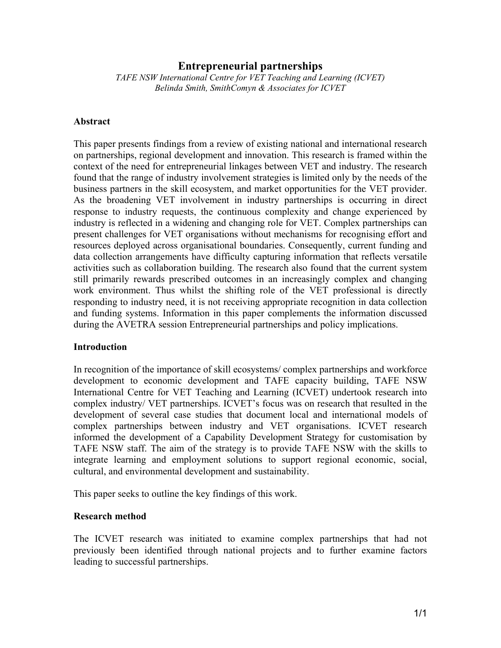# **Entrepreneurial partnerships**

*TAFE NSW International Centre for VET Teaching and Learning (ICVET) Belinda Smith, SmithComyn & Associates for ICVET* 

#### **Abstract**

This paper presents findings from a review of existing national and international research on partnerships, regional development and innovation. This research is framed within the context of the need for entrepreneurial linkages between VET and industry. The research found that the range of industry involvement strategies is limited only by the needs of the business partners in the skill ecosystem, and market opportunities for the VET provider. As the broadening VET involvement in industry partnerships is occurring in direct response to industry requests, the continuous complexity and change experienced by industry is reflected in a widening and changing role for VET. Complex partnerships can present challenges for VET organisations without mechanisms for recognising effort and resources deployed across organisational boundaries. Consequently, current funding and data collection arrangements have difficulty capturing information that reflects versatile activities such as collaboration building. The research also found that the current system still primarily rewards prescribed outcomes in an increasingly complex and changing work environment. Thus whilst the shifting role of the VET professional is directly responding to industry need, it is not receiving appropriate recognition in data collection and funding systems. Information in this paper complements the information discussed during the AVETRA session Entrepreneurial partnerships and policy implications.

### **Introduction**

In recognition of the importance of skill ecosystems/ complex partnerships and workforce development to economic development and TAFE capacity building, TAFE NSW International Centre for VET Teaching and Learning (ICVET) undertook research into complex industry/ VET partnerships. ICVET's focus was on research that resulted in the development of several case studies that document local and international models of complex partnerships between industry and VET organisations. ICVET research informed the development of a Capability Development Strategy for customisation by TAFE NSW staff. The aim of the strategy is to provide TAFE NSW with the skills to integrate learning and employment solutions to support regional economic, social, cultural, and environmental development and sustainability.

This paper seeks to outline the key findings of this work.

### **Research method**

The ICVET research was initiated to examine complex partnerships that had not previously been identified through national projects and to further examine factors leading to successful partnerships.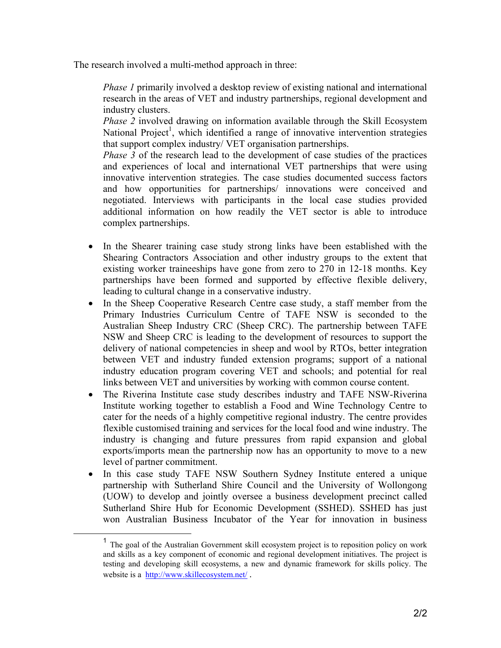The research involved a multi-method approach in three:

*Phase 1* primarily involved a desktop review of existing national and international research in the areas of VET and industry partnerships, regional development and industry clusters.

*Phase 2* involved drawing on information available through the Skill Ecosystem National Project<sup>1</sup>, which identified a range of innovative intervention strategies that support complex industry/ VET organisation partnerships.

*Phase 3* of the research lead to the development of case studies of the practices and experiences of local and international VET partnerships that were using innovative intervention strategies. The case studies documented success factors and how opportunities for partnerships/ innovations were conceived and negotiated. Interviews with participants in the local case studies provided additional information on how readily the VET sector is able to introduce complex partnerships.

- In the Shearer training case study strong links have been established with the Shearing Contractors Association and other industry groups to the extent that existing worker traineeships have gone from zero to 270 in 12-18 months. Key partnerships have been formed and supported by effective flexible delivery, leading to cultural change in a conservative industry.
- In the Sheep Cooperative Research Centre case study, a staff member from the Primary Industries Curriculum Centre of TAFE NSW is seconded to the Australian Sheep Industry CRC (Sheep CRC). The partnership between TAFE NSW and Sheep CRC is leading to the development of resources to support the delivery of national competencies in sheep and wool by RTOs, better integration between VET and industry funded extension programs; support of a national industry education program covering VET and schools; and potential for real links between VET and universities by working with common course content.
- The Riverina Institute case study describes industry and TAFE NSW-Riverina Institute working together to establish a Food and Wine Technology Centre to cater for the needs of a highly competitive regional industry. The centre provides flexible customised training and services for the local food and wine industry. The industry is changing and future pressures from rapid expansion and global exports/imports mean the partnership now has an opportunity to move to a new level of partner commitment.
- In this case study TAFE NSW Southern Sydney Institute entered a unique partnership with Sutherland Shire Council and the University of Wollongong (UOW) to develop and jointly oversee a business development precinct called Sutherland Shire Hub for Economic Development (SSHED). SSHED has just won Australian Business Incubator of the Year for innovation in business

<sup>&</sup>lt;sup>1</sup> The goal of the Australian Government skill ecosystem project is to reposition policy on work and skills as a key component of economic and regional development initiatives. The project is testing and developing skill ecosystems, a new and dynamic framework for skills policy. The website is a http://www.skillecosystem.net/ .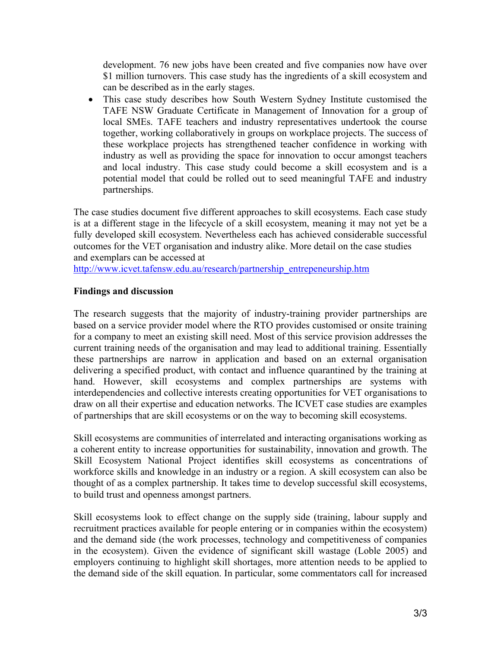development. 76 new jobs have been created and five companies now have over \$1 million turnovers. This case study has the ingredients of a skill ecosystem and can be described as in the early stages.

• This case study describes how South Western Sydney Institute customised the TAFE NSW Graduate Certificate in Management of Innovation for a group of local SMEs. TAFE teachers and industry representatives undertook the course together, working collaboratively in groups on workplace projects. The success of these workplace projects has strengthened teacher confidence in working with industry as well as providing the space for innovation to occur amongst teachers and local industry. This case study could become a skill ecosystem and is a potential model that could be rolled out to seed meaningful TAFE and industry partnerships.

The case studies document five different approaches to skill ecosystems. Each case study is at a different stage in the lifecycle of a skill ecosystem, meaning it may not yet be a fully developed skill ecosystem. Nevertheless each has achieved considerable successful outcomes for the VET organisation and industry alike. More detail on the case studies and exemplars can be accessed at

http://www.icvet.tafensw.edu.au/research/partnership\_entrepeneurship.htm

# **Findings and discussion**

The research suggests that the majority of industry-training provider partnerships are based on a service provider model where the RTO provides customised or onsite training for a company to meet an existing skill need. Most of this service provision addresses the current training needs of the organisation and may lead to additional training. Essentially these partnerships are narrow in application and based on an external organisation delivering a specified product, with contact and influence quarantined by the training at hand. However, skill ecosystems and complex partnerships are systems with interdependencies and collective interests creating opportunities for VET organisations to draw on all their expertise and education networks. The ICVET case studies are examples of partnerships that are skill ecosystems or on the way to becoming skill ecosystems.

Skill ecosystems are communities of interrelated and interacting organisations working as a coherent entity to increase opportunities for sustainability, innovation and growth. The Skill Ecosystem National Project identifies skill ecosystems as concentrations of workforce skills and knowledge in an industry or a region. A skill ecosystem can also be thought of as a complex partnership. It takes time to develop successful skill ecosystems, to build trust and openness amongst partners.

Skill ecosystems look to effect change on the supply side (training, labour supply and recruitment practices available for people entering or in companies within the ecosystem) and the demand side (the work processes, technology and competitiveness of companies in the ecosystem). Given the evidence of significant skill wastage (Loble 2005) and employers continuing to highlight skill shortages, more attention needs to be applied to the demand side of the skill equation. In particular, some commentators call for increased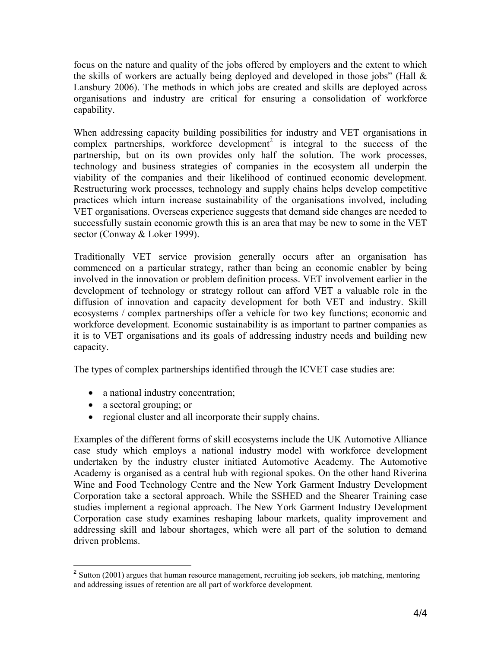focus on the nature and quality of the jobs offered by employers and the extent to which the skills of workers are actually being deployed and developed in those jobs" (Hall & Lansbury 2006). The methods in which jobs are created and skills are deployed across organisations and industry are critical for ensuring a consolidation of workforce capability.

When addressing capacity building possibilities for industry and VET organisations in complex partnerships, workforce development<sup>2</sup> is integral to the success of the partnership, but on its own provides only half the solution. The work processes, technology and business strategies of companies in the ecosystem all underpin the viability of the companies and their likelihood of continued economic development. Restructuring work processes, technology and supply chains helps develop competitive practices which inturn increase sustainability of the organisations involved, including VET organisations. Overseas experience suggests that demand side changes are needed to successfully sustain economic growth this is an area that may be new to some in the VET sector (Conway & Loker 1999).

Traditionally VET service provision generally occurs after an organisation has commenced on a particular strategy, rather than being an economic enabler by being involved in the innovation or problem definition process. VET involvement earlier in the development of technology or strategy rollout can afford VET a valuable role in the diffusion of innovation and capacity development for both VET and industry. Skill ecosystems / complex partnerships offer a vehicle for two key functions; economic and workforce development. Economic sustainability is as important to partner companies as it is to VET organisations and its goals of addressing industry needs and building new capacity.

The types of complex partnerships identified through the ICVET case studies are:

- a national industry concentration;
- a sectoral grouping; or

 $\overline{a}$ 

• regional cluster and all incorporate their supply chains.

Examples of the different forms of skill ecosystems include the UK Automotive Alliance case study which employs a national industry model with workforce development undertaken by the industry cluster initiated Automotive Academy. The Automotive Academy is organised as a central hub with regional spokes. On the other hand Riverina Wine and Food Technology Centre and the New York Garment Industry Development Corporation take a sectoral approach. While the SSHED and the Shearer Training case studies implement a regional approach. The New York Garment Industry Development Corporation case study examines reshaping labour markets, quality improvement and addressing skill and labour shortages, which were all part of the solution to demand driven problems.

 $2^2$  Sutton (2001) argues that human resource management, recruiting job seekers, job matching, mentoring and addressing issues of retention are all part of workforce development.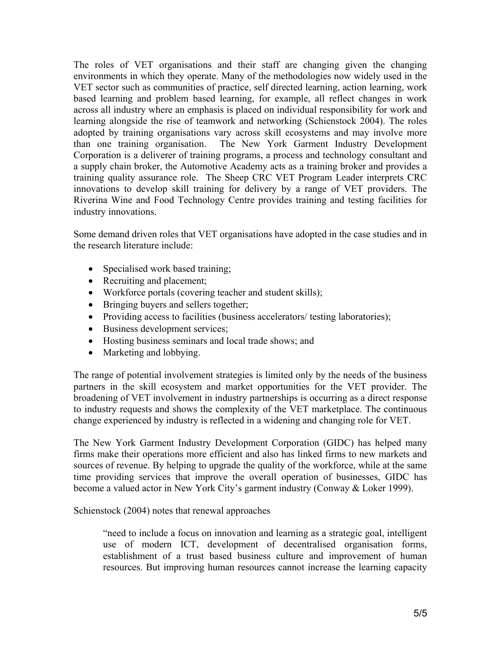The roles of VET organisations and their staff are changing given the changing environments in which they operate. Many of the methodologies now widely used in the VET sector such as communities of practice, self directed learning, action learning, work based learning and problem based learning, for example, all reflect changes in work across all industry where an emphasis is placed on individual responsibility for work and learning alongside the rise of teamwork and networking (Schienstock 2004). The roles adopted by training organisations vary across skill ecosystems and may involve more than one training organisation. The New York Garment Industry Development Corporation is a deliverer of training programs, a process and technology consultant and a supply chain broker, the Automotive Academy acts as a training broker and provides a training quality assurance role. The Sheep CRC VET Program Leader interprets CRC innovations to develop skill training for delivery by a range of VET providers. The Riverina Wine and Food Technology Centre provides training and testing facilities for industry innovations.

Some demand driven roles that VET organisations have adopted in the case studies and in the research literature include:

- Specialised work based training;
- Recruiting and placement;
- Workforce portals (covering teacher and student skills);
- Bringing buyers and sellers together;
- Providing access to facilities (business accelerators/ testing laboratories);
- Business development services;
- Hosting business seminars and local trade shows; and
- Marketing and lobbying.

The range of potential involvement strategies is limited only by the needs of the business partners in the skill ecosystem and market opportunities for the VET provider. The broadening of VET involvement in industry partnerships is occurring as a direct response to industry requests and shows the complexity of the VET marketplace. The continuous change experienced by industry is reflected in a widening and changing role for VET.

The New York Garment Industry Development Corporation (GIDC) has helped many firms make their operations more efficient and also has linked firms to new markets and sources of revenue. By helping to upgrade the quality of the workforce, while at the same time providing services that improve the overall operation of businesses, GIDC has become a valued actor in New York City's garment industry (Conway & Loker 1999).

Schienstock (2004) notes that renewal approaches

"need to include a focus on innovation and learning as a strategic goal, intelligent use of modern ICT, development of decentralised organisation forms, establishment of a trust based business culture and improvement of human resources. But improving human resources cannot increase the learning capacity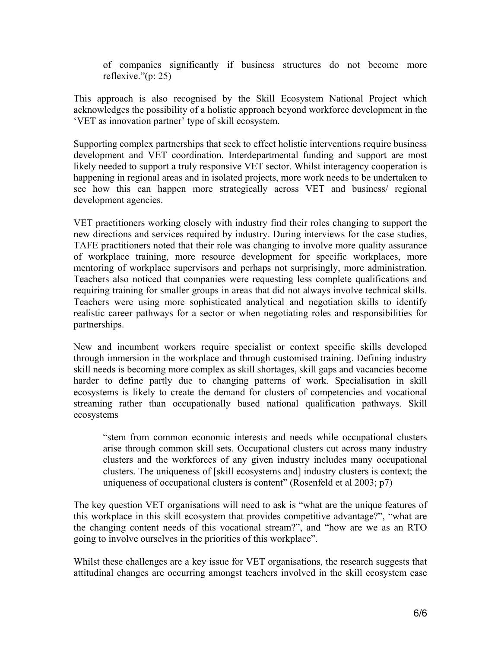of companies significantly if business structures do not become more reflexive."(p: 25)

This approach is also recognised by the Skill Ecosystem National Project which acknowledges the possibility of a holistic approach beyond workforce development in the 'VET as innovation partner' type of skill ecosystem.

Supporting complex partnerships that seek to effect holistic interventions require business development and VET coordination. Interdepartmental funding and support are most likely needed to support a truly responsive VET sector. Whilst interagency cooperation is happening in regional areas and in isolated projects, more work needs to be undertaken to see how this can happen more strategically across VET and business/ regional development agencies.

VET practitioners working closely with industry find their roles changing to support the new directions and services required by industry. During interviews for the case studies, TAFE practitioners noted that their role was changing to involve more quality assurance of workplace training, more resource development for specific workplaces, more mentoring of workplace supervisors and perhaps not surprisingly, more administration. Teachers also noticed that companies were requesting less complete qualifications and requiring training for smaller groups in areas that did not always involve technical skills. Teachers were using more sophisticated analytical and negotiation skills to identify realistic career pathways for a sector or when negotiating roles and responsibilities for partnerships.

New and incumbent workers require specialist or context specific skills developed through immersion in the workplace and through customised training. Defining industry skill needs is becoming more complex as skill shortages, skill gaps and vacancies become harder to define partly due to changing patterns of work. Specialisation in skill ecosystems is likely to create the demand for clusters of competencies and vocational streaming rather than occupationally based national qualification pathways. Skill ecosystems

"stem from common economic interests and needs while occupational clusters arise through common skill sets. Occupational clusters cut across many industry clusters and the workforces of any given industry includes many occupational clusters. The uniqueness of [skill ecosystems and] industry clusters is context; the uniqueness of occupational clusters is content" (Rosenfeld et al 2003; p7)

The key question VET organisations will need to ask is "what are the unique features of this workplace in this skill ecosystem that provides competitive advantage?", "what are the changing content needs of this vocational stream?", and "how are we as an RTO going to involve ourselves in the priorities of this workplace".

Whilst these challenges are a key issue for VET organisations, the research suggests that attitudinal changes are occurring amongst teachers involved in the skill ecosystem case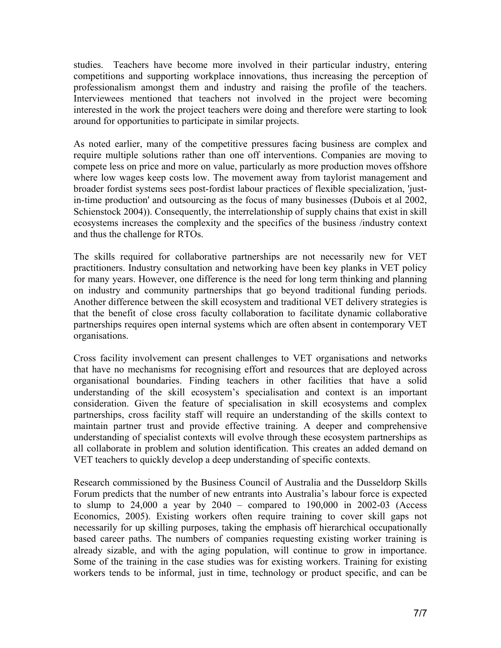studies. Teachers have become more involved in their particular industry, entering competitions and supporting workplace innovations, thus increasing the perception of professionalism amongst them and industry and raising the profile of the teachers. Interviewees mentioned that teachers not involved in the project were becoming interested in the work the project teachers were doing and therefore were starting to look around for opportunities to participate in similar projects.

As noted earlier, many of the competitive pressures facing business are complex and require multiple solutions rather than one off interventions. Companies are moving to compete less on price and more on value, particularly as more production moves offshore where low wages keep costs low. The movement away from taylorist management and broader fordist systems sees post-fordist labour practices of flexible specialization, 'justin-time production' and outsourcing as the focus of many businesses (Dubois et al 2002, Schienstock 2004)). Consequently, the interrelationship of supply chains that exist in skill ecosystems increases the complexity and the specifics of the business /industry context and thus the challenge for RTOs.

The skills required for collaborative partnerships are not necessarily new for VET practitioners. Industry consultation and networking have been key planks in VET policy for many years. However, one difference is the need for long term thinking and planning on industry and community partnerships that go beyond traditional funding periods. Another difference between the skill ecosystem and traditional VET delivery strategies is that the benefit of close cross faculty collaboration to facilitate dynamic collaborative partnerships requires open internal systems which are often absent in contemporary VET organisations.

Cross facility involvement can present challenges to VET organisations and networks that have no mechanisms for recognising effort and resources that are deployed across organisational boundaries. Finding teachers in other facilities that have a solid understanding of the skill ecosystem's specialisation and context is an important consideration. Given the feature of specialisation in skill ecosystems and complex partnerships, cross facility staff will require an understanding of the skills context to maintain partner trust and provide effective training. A deeper and comprehensive understanding of specialist contexts will evolve through these ecosystem partnerships as all collaborate in problem and solution identification. This creates an added demand on VET teachers to quickly develop a deep understanding of specific contexts.

Research commissioned by the Business Council of Australia and the Dusseldorp Skills Forum predicts that the number of new entrants into Australia's labour force is expected to slump to  $24,000$  a year by  $2040$  – compared to  $190,000$  in  $2002-03$  (Access Economics, 2005). Existing workers often require training to cover skill gaps not necessarily for up skilling purposes, taking the emphasis off hierarchical occupationally based career paths. The numbers of companies requesting existing worker training is already sizable, and with the aging population, will continue to grow in importance. Some of the training in the case studies was for existing workers. Training for existing workers tends to be informal, just in time, technology or product specific, and can be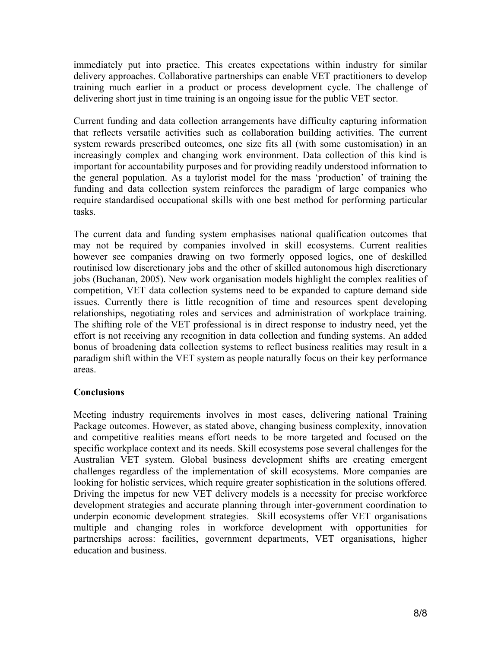immediately put into practice. This creates expectations within industry for similar delivery approaches. Collaborative partnerships can enable VET practitioners to develop training much earlier in a product or process development cycle. The challenge of delivering short just in time training is an ongoing issue for the public VET sector.

Current funding and data collection arrangements have difficulty capturing information that reflects versatile activities such as collaboration building activities. The current system rewards prescribed outcomes, one size fits all (with some customisation) in an increasingly complex and changing work environment. Data collection of this kind is important for accountability purposes and for providing readily understood information to the general population. As a taylorist model for the mass 'production' of training the funding and data collection system reinforces the paradigm of large companies who require standardised occupational skills with one best method for performing particular tasks.

The current data and funding system emphasises national qualification outcomes that may not be required by companies involved in skill ecosystems. Current realities however see companies drawing on two formerly opposed logics, one of deskilled routinised low discretionary jobs and the other of skilled autonomous high discretionary jobs (Buchanan, 2005). New work organisation models highlight the complex realities of competition, VET data collection systems need to be expanded to capture demand side issues. Currently there is little recognition of time and resources spent developing relationships, negotiating roles and services and administration of workplace training. The shifting role of the VET professional is in direct response to industry need, yet the effort is not receiving any recognition in data collection and funding systems. An added bonus of broadening data collection systems to reflect business realities may result in a paradigm shift within the VET system as people naturally focus on their key performance areas.

# **Conclusions**

Meeting industry requirements involves in most cases, delivering national Training Package outcomes. However, as stated above, changing business complexity, innovation and competitive realities means effort needs to be more targeted and focused on the specific workplace context and its needs. Skill ecosystems pose several challenges for the Australian VET system. Global business development shifts are creating emergent challenges regardless of the implementation of skill ecosystems. More companies are looking for holistic services, which require greater sophistication in the solutions offered. Driving the impetus for new VET delivery models is a necessity for precise workforce development strategies and accurate planning through inter-government coordination to underpin economic development strategies. Skill ecosystems offer VET organisations multiple and changing roles in workforce development with opportunities for partnerships across: facilities, government departments, VET organisations, higher education and business.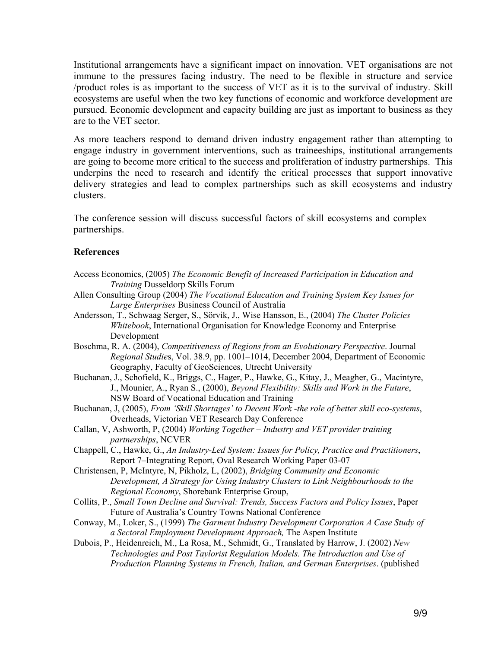Institutional arrangements have a significant impact on innovation. VET organisations are not immune to the pressures facing industry. The need to be flexible in structure and service /product roles is as important to the success of VET as it is to the survival of industry. Skill ecosystems are useful when the two key functions of economic and workforce development are pursued. Economic development and capacity building are just as important to business as they are to the VET sector.

As more teachers respond to demand driven industry engagement rather than attempting to engage industry in government interventions, such as traineeships, institutional arrangements are going to become more critical to the success and proliferation of industry partnerships. This underpins the need to research and identify the critical processes that support innovative delivery strategies and lead to complex partnerships such as skill ecosystems and industry clusters.

The conference session will discuss successful factors of skill ecosystems and complex partnerships.

#### **References**

- Access Economics, (2005) *The Economic Benefit of Increased Participation in Education and Training* Dusseldorp Skills Forum
- Allen Consulting Group (2004) *The Vocational Education and Training System Key Issues for Large Enterprises* Business Council of Australia
- Andersson, T., Schwaag Serger, S., Sörvik, J., Wise Hansson, E., (2004) *The Cluster Policies Whitebook*, International Organisation for Knowledge Economy and Enterprise Development

Boschma, R. A. (2004), *Competitiveness of Regions from an Evolutionary Perspective*. Journal *Regional Studie*s, Vol. 38.9, pp. 1001–1014, December 2004, Department of Economic Geography, Faculty of GeoSciences, Utrecht University

- Buchanan, J., Schofield, K., Briggs, C., Hager, P., Hawke, G., Kitay, J., Meagher, G., Macintyre, J., Mounier, A., Ryan S., (2000), *Beyond Flexibility: Skills and Work in the Future*, NSW Board of Vocational Education and Training
- Buchanan, J, (2005), *From 'Skill Shortages' to Decent Work -the role of better skill eco-systems*, Overheads, Victorian VET Research Day Conference
- Callan, V, Ashworth, P, (2004) *Working Together Industry and VET provider training partnerships*, NCVER
- Chappell, C., Hawke, G., *An Industry-Led System: Issues for Policy, Practice and Practitioners*, Report 7–Integrating Report, Oval Research Working Paper 03-07
- Christensen, P, McIntyre, N, Pikholz, L, (2002), *Bridging Community and Economic Development, A Strategy for Using Industry Clusters to Link Neighbourhoods to the Regional Economy*, Shorebank Enterprise Group,
- Collits, P., *Small Town Decline and Survival: Trends, Success Factors and Policy Issues*, Paper Future of Australia's Country Towns National Conference
- Conway, M., Loker, S., (1999) *The Garment Industry Development Corporation A Case Study of a Sectoral Employment Development Approach,* The Aspen Institute
- Dubois, P., Heidenreich, M., La Rosa, M., Schmidt, G., Translated by Harrow, J. (2002) *New Technologies and Post Taylorist Regulation Models. The Introduction and Use of Production Planning Systems in French, Italian, and German Enterprises*. (published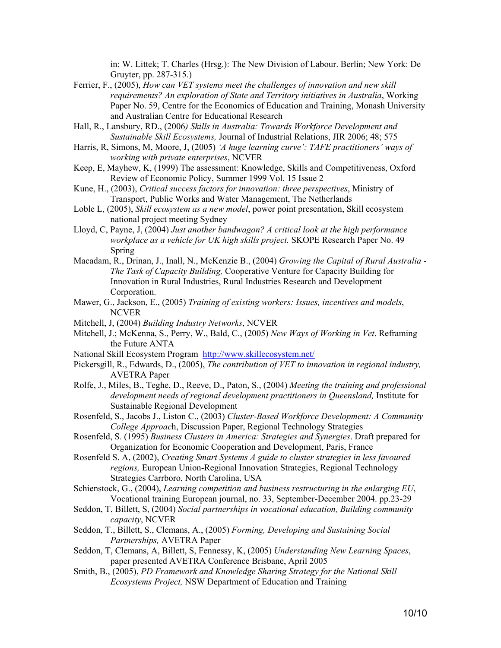in: W. Littek; T. Charles (Hrsg.): The New Division of Labour. Berlin; New York: De Gruyter, pp. 287-315.)

- Ferrier, F., (2005), *How can VET systems meet the challenges of innovation and new skill requirements? An exploration of State and Territory initiatives in Australia*, Working Paper No. 59, Centre for the Economics of Education and Training, Monash University and Australian Centre for Educational Research
- Hall, R., Lansbury, RD., (2006*) Skills in Australia: Towards Workforce Development and Sustainable Skill Ecosystems,* Journal of Industrial Relations, JIR 2006; 48; 575
- Harris, R, Simons, M, Moore, J, (2005) *'A huge learning curve': TAFE practitioners' ways of working with private enterprises*, NCVER
- Keep, E, Mayhew, K, (1999) The assessment: Knowledge, Skills and Competitiveness, Oxford Review of Economic Policy, Summer 1999 Vol. 15 Issue 2
- Kune, H., (2003), *Critical success factors for innovation: three perspectives*, Ministry of Transport, Public Works and Water Management, The Netherlands
- Loble L, (2005), *Skill ecosystem as a new model*, power point presentation, Skill ecosystem national project meeting Sydney
- Lloyd, C, Payne, J, (2004) *Just another bandwagon? A critical look at the high performance workplace as a vehicle for UK high skills project.* SKOPE Research Paper No. 49 Spring
- Macadam, R., Drinan, J., Inall, N., McKenzie B., (2004) *Growing the Capital of Rural Australia The Task of Capacity Building,* Cooperative Venture for Capacity Building for Innovation in Rural Industries, Rural Industries Research and Development Corporation.
- Mawer, G., Jackson, E., (2005) *Training of existing workers: Issues, incentives and models*, **NCVER**
- Mitchell, J, (2004) *Building Industry Networks*, NCVER
- Mitchell, J.; McKenna, S., Perry, W., Bald, C., (2005) *New Ways of Working in Vet*. Reframing the Future ANTA
- National Skill Ecosystem Program http://www.skillecosystem.net/
- Pickersgill, R., Edwards, D., (2005), *The contribution of VET to innovation in regional industry,*  AVETRA Paper
- Rolfe, J., Miles, B., Teghe, D., Reeve, D., Paton, S., (2004) *Meeting the training and professional development needs of regional development practitioners in Queensland,* Institute for Sustainable Regional Development
- Rosenfeld, S., Jacobs J., Liston C., (2003) *Cluster-Based Workforce Development: A Community College Approac*h, Discussion Paper, Regional Technology Strategies
- Rosenfeld, S. (1995) *Business Clusters in America: Strategies and Synergies*. Draft prepared for Organization for Economic Cooperation and Development, Paris, France
- Rosenfeld S. A, (2002), *Creating Smart Systems A guide to cluster strategies in less favoured regions,* European Union-Regional Innovation Strategies, Regional Technology Strategies Carrboro, North Carolina, USA
- Schienstock, G., (2004), *Learning competition and business restructuring in the enlarging EU*, Vocational training European journal, no. 33, September-December 2004. pp.23-29
- Seddon, T, Billett, S, (2004) *Social partnerships in vocational education, Building community capacity*, NCVER
- Seddon, T., Billett, S., Clemans, A., (2005) *Forming, Developing and Sustaining Social Partnerships,* AVETRA Paper
- Seddon, T, Clemans, A, Billett, S, Fennessy, K, (2005) *Understanding New Learning Spaces*, paper presented AVETRA Conference Brisbane, April 2005
- Smith, B., (2005), *PD Framework and Knowledge Sharing Strategy for the National Skill Ecosystems Project,* NSW Department of Education and Training